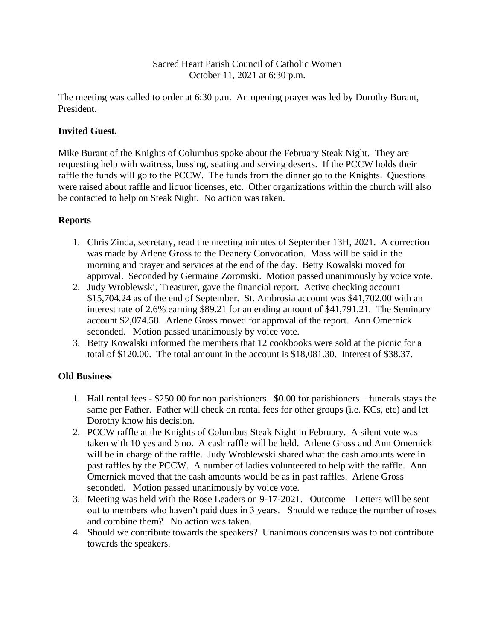#### Sacred Heart Parish Council of Catholic Women October 11, 2021 at 6:30 p.m.

The meeting was called to order at 6:30 p.m. An opening prayer was led by Dorothy Burant, President.

### **Invited Guest.**

Mike Burant of the Knights of Columbus spoke about the February Steak Night. They are requesting help with waitress, bussing, seating and serving deserts. If the PCCW holds their raffle the funds will go to the PCCW. The funds from the dinner go to the Knights. Questions were raised about raffle and liquor licenses, etc. Other organizations within the church will also be contacted to help on Steak Night. No action was taken.

## **Reports**

- 1. Chris Zinda, secretary, read the meeting minutes of September 13H, 2021. A correction was made by Arlene Gross to the Deanery Convocation. Mass will be said in the morning and prayer and services at the end of the day. Betty Kowalski moved for approval. Seconded by Germaine Zoromski. Motion passed unanimously by voice vote.
- 2. Judy Wroblewski, Treasurer, gave the financial report. Active checking account \$15,704.24 as of the end of September. St. Ambrosia account was \$41,702.00 with an interest rate of 2.6% earning \$89.21 for an ending amount of \$41,791.21. The Seminary account \$2,074.58. Arlene Gross moved for approval of the report. Ann Omernick seconded. Motion passed unanimously by voice vote.
- 3. Betty Kowalski informed the members that 12 cookbooks were sold at the picnic for a total of \$120.00. The total amount in the account is \$18,081.30. Interest of \$38.37.

### **Old Business**

- 1. Hall rental fees \$250.00 for non parishioners. \$0.00 for parishioners funerals stays the same per Father. Father will check on rental fees for other groups (i.e. KCs, etc) and let Dorothy know his decision.
- 2. PCCW raffle at the Knights of Columbus Steak Night in February. A silent vote was taken with 10 yes and 6 no. A cash raffle will be held. Arlene Gross and Ann Omernick will be in charge of the raffle. Judy Wroblewski shared what the cash amounts were in past raffles by the PCCW. A number of ladies volunteered to help with the raffle. Ann Omernick moved that the cash amounts would be as in past raffles. Arlene Gross seconded. Motion passed unanimously by voice vote.
- 3. Meeting was held with the Rose Leaders on 9-17-2021. Outcome Letters will be sent out to members who haven't paid dues in 3 years. Should we reduce the number of roses and combine them? No action was taken.
- 4. Should we contribute towards the speakers? Unanimous concensus was to not contribute towards the speakers.